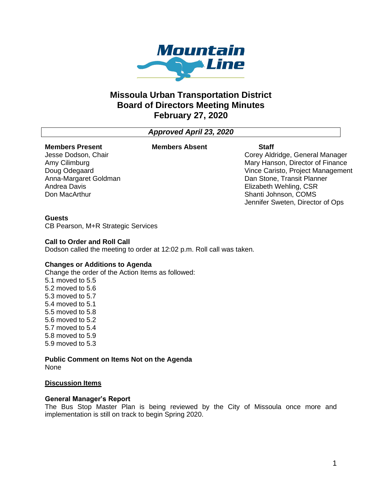

# **Missoula Urban Transportation District Board of Directors Meeting Minutes February 27, 2020**

# *Approved April 23, 2020*

#### **Members Present** Jesse Dodson, Chair

Anna-Margaret Goldman

Amy Cilimburg Doug Odegaard

Andrea Davis Don MacArthur

#### **Members Absent Staff**

Corey Aldridge, General Manager Mary Hanson, Director of Finance Vince Caristo, Project Management Dan Stone, Transit Planner Elizabeth Wehling, CSR Shanti Johnson, COMS Jennifer Sweten, Director of Ops

#### **Guests**

CB Pearson, M+R Strategic Services

#### **Call to Order and Roll Call**

Dodson called the meeting to order at 12:02 p.m. Roll call was taken.

#### **Changes or Additions to Agenda**

Change the order of the Action Items as followed: 5.1 moved to 5.5 5.2 moved to 5.6 5.3 moved to 5.7 5.4 moved to 5.1 5.5 moved to 5.8 5.6 moved to 5.2 5.7 moved to 5.4 5.8 moved to 5.9 5.9 moved to 5.3

#### **Public Comment on Items Not on the Agenda** None

#### **Discussion Items**

#### **General Manager's Report**

The Bus Stop Master Plan is being reviewed by the City of Missoula once more and implementation is still on track to begin Spring 2020.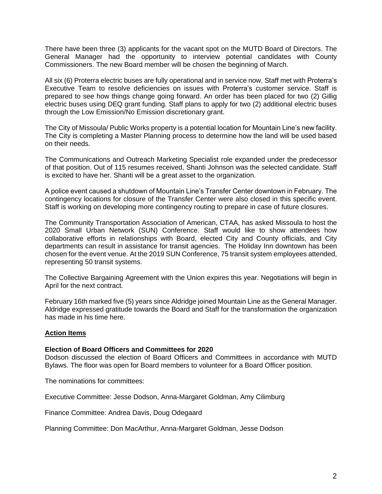There have been three (3) applicants for the vacant spot on the MUTD Board of Directors. The General Manager had the opportunity to interview potential candidates with County Commissioners. The new Board member will be chosen the beginning of March.

All six (6) Proterra electric buses are fully operational and in service now. Staff met with Proterra's Executive Team to resolve deficiencies on issues with Proterra's customer service. Staff is prepared to see how things change going forward. An order has been placed for two (2) Gillig electric buses using DEQ grant funding. Staff plans to apply for two (2) additional electric buses through the Low Emission/No Emission discretionary grant.

The City of Missoula/ Public Works property is a potential location for Mountain Line's new facility. The City is completing a Master Planning process to determine how the land will be used based on their needs.

The Communications and Outreach Marketing Specialist role expanded under the predecessor of that position. Out of 115 resumes received, Shanti Johnson was the selected candidate. Staff is excited to have her. Shanti will be a great asset to the organization.

A police event caused a shutdown of Mountain Line's Transfer Center downtown in February. The contingency locations for closure of the Transfer Center were also closed in this specific event. Staff is working on developing more contingency routing to prepare in case of future closures.

The Community Transportation Association of American, CTAA, has asked Missoula to host the 2020 Small Urban Network (SUN) Conference. Staff would like to show attendees how collaborative efforts in relationships with Board, elected City and County officials, and City departments can result in assistance for transit agencies. The Holiday Inn downtown has been chosen for the event venue. At the 2019 SUN Conference, 75 transit system employees attended, representing 50 transit systems.

The Collective Bargaining Agreement with the Union expires this year. Negotiations will begin in April for the next contract.

February 16th marked five (5) years since Aldridge joined Mountain Line as the General Manager. Aldridge expressed gratitude towards the Board and Staff for the transformation the organization has made in his time here.

#### **Action Items**

#### **Election of Board Officers and Committees for 2020**

Dodson discussed the election of Board Officers and Committees in accordance with MUTD Bylaws. The floor was open for Board members to volunteer for a Board Officer position.

The nominations for committees:

Executive Committee: Jesse Dodson, Anna-Margaret Goldman, Amy Cilimburg

Finance Committee: Andrea Davis, Doug Odegaard

Planning Committee: Don MacArthur, Anna-Margaret Goldman, Jesse Dodson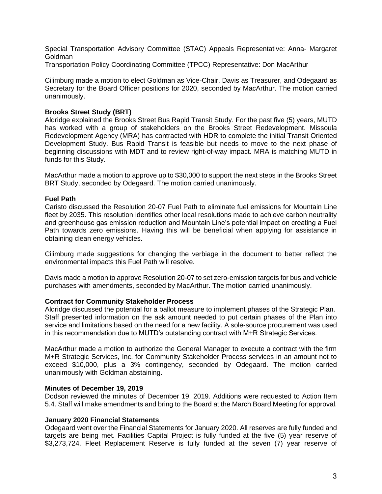Special Transportation Advisory Committee (STAC) Appeals Representative: Anna- Margaret Goldman

Transportation Policy Coordinating Committee (TPCC) Representative: Don MacArthur

Cilimburg made a motion to elect Goldman as Vice-Chair, Davis as Treasurer, and Odegaard as Secretary for the Board Officer positions for 2020, seconded by MacArthur. The motion carried unanimously.

## **Brooks Street Study (BRT)**

Aldridge explained the Brooks Street Bus Rapid Transit Study. For the past five (5) years, MUTD has worked with a group of stakeholders on the Brooks Street Redevelopment. Missoula Redevelopment Agency (MRA) has contracted with HDR to complete the initial Transit Oriented Development Study. Bus Rapid Transit is feasible but needs to move to the next phase of beginning discussions with MDT and to review right-of-way impact. MRA is matching MUTD in funds for this Study.

MacArthur made a motion to approve up to \$30,000 to support the next steps in the Brooks Street BRT Study, seconded by Odegaard. The motion carried unanimously.

### **Fuel Path**

Caristo discussed the Resolution 20-07 Fuel Path to eliminate fuel emissions for Mountain Line fleet by 2035. This resolution identifies other local resolutions made to achieve carbon neutrality and greenhouse gas emission reduction and Mountain Line's potential impact on creating a Fuel Path towards zero emissions. Having this will be beneficial when applying for assistance in obtaining clean energy vehicles.

Cilimburg made suggestions for changing the verbiage in the document to better reflect the environmental impacts this Fuel Path will resolve.

Davis made a motion to approve Resolution 20-07 to set zero-emission targets for bus and vehicle purchases with amendments, seconded by MacArthur. The motion carried unanimously.

#### **Contract for Community Stakeholder Process**

Aldridge discussed the potential for a ballot measure to implement phases of the Strategic Plan. Staff presented information on the ask amount needed to put certain phases of the Plan into service and limitations based on the need for a new facility. A sole-source procurement was used in this recommendation due to MUTD's outstanding contract with M+R Strategic Services.

MacArthur made a motion to authorize the General Manager to execute a contract with the firm M+R Strategic Services, Inc. for Community Stakeholder Process services in an amount not to exceed \$10,000, plus a 3% contingency, seconded by Odegaard. The motion carried unanimously with Goldman abstaining.

#### **Minutes of December 19, 2019**

Dodson reviewed the minutes of December 19, 2019. Additions were requested to Action Item 5.4. Staff will make amendments and bring to the Board at the March Board Meeting for approval.

#### **January 2020 Financial Statements**

Odegaard went over the Financial Statements for January 2020. All reserves are fully funded and targets are being met. Facilities Capital Project is fully funded at the five (5) year reserve of \$3,273,724. Fleet Replacement Reserve is fully funded at the seven (7) year reserve of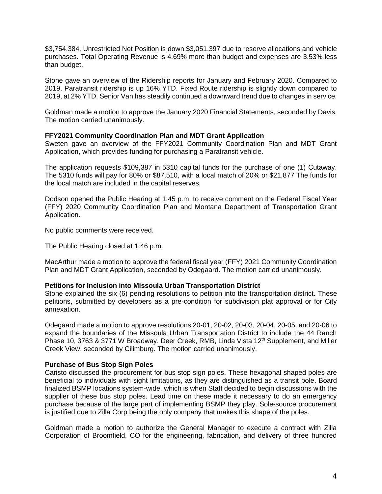\$3,754,384. Unrestricted Net Position is down \$3,051,397 due to reserve allocations and vehicle purchases. Total Operating Revenue is 4.69% more than budget and expenses are 3.53% less than budget.

Stone gave an overview of the Ridership reports for January and February 2020. Compared to 2019, Paratransit ridership is up 16% YTD. Fixed Route ridership is slightly down compared to 2019, at 2% YTD. Senior Van has steadily continued a downward trend due to changes in service.

Goldman made a motion to approve the January 2020 Financial Statements, seconded by Davis. The motion carried unanimously.

### **FFY2021 Community Coordination Plan and MDT Grant Application**

Sweten gave an overview of the FFY2021 Community Coordination Plan and MDT Grant Application, which provides funding for purchasing a Paratransit vehicle.

The application requests \$109,387 in 5310 capital funds for the purchase of one (1) Cutaway. The 5310 funds will pay for 80% or \$87,510, with a local match of 20% or \$21,877 The funds for the local match are included in the capital reserves.

Dodson opened the Public Hearing at 1:45 p.m. to receive comment on the Federal Fiscal Year (FFY) 2020 Community Coordination Plan and Montana Department of Transportation Grant Application.

No public comments were received.

The Public Hearing closed at 1:46 p.m.

MacArthur made a motion to approve the federal fiscal year (FFY) 2021 Community Coordination Plan and MDT Grant Application, seconded by Odegaard. The motion carried unanimously.

#### **Petitions for Inclusion into Missoula Urban Transportation District**

Stone explained the six (6) pending resolutions to petition into the transportation district. These petitions, submitted by developers as a pre-condition for subdivision plat approval or for City annexation.

Odegaard made a motion to approve resolutions 20-01, 20-02, 20-03, 20-04, 20-05, and 20-06 to expand the boundaries of the Missoula Urban Transportation District to include the 44 Ranch Phase 10, 3763 & 3771 W Broadway, Deer Creek, RMB, Linda Vista 12<sup>th</sup> Supplement, and Miller Creek View, seconded by Cilimburg. The motion carried unanimously.

#### **Purchase of Bus Stop Sign Poles**

Caristo discussed the procurement for bus stop sign poles. These hexagonal shaped poles are beneficial to individuals with sight limitations, as they are distinguished as a transit pole. Board finalized BSMP locations system-wide, which is when Staff decided to begin discussions with the supplier of these bus stop poles. Lead time on these made it necessary to do an emergency purchase because of the large part of implementing BSMP they play. Sole-source procurement is justified due to Zilla Corp being the only company that makes this shape of the poles.

Goldman made a motion to authorize the General Manager to execute a contract with Zilla Corporation of Broomfield, CO for the engineering, fabrication, and delivery of three hundred